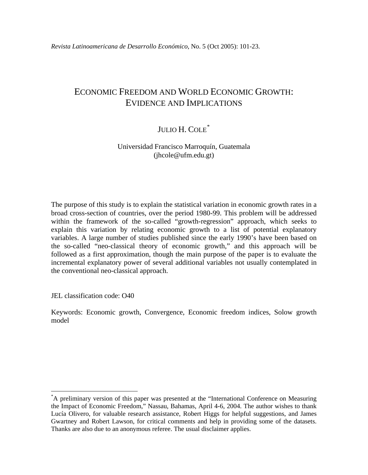# ECONOMIC FREEDOM AND WORLD ECONOMIC GROWTH: EVIDENCE AND IMPLICATIONS

## JULIO H. COLE<sup>[\\*](#page-0-0)</sup>

## Universidad Francisco Marroquín, Guatemala (jhcole@ufm.edu.gt)

The purpose of this study is to explain the statistical variation in economic growth rates in a broad cross-section of countries, over the period 1980-99. This problem will be addressed within the framework of the so-called "growth-regression" approach, which seeks to explain this variation by relating economic growth to a list of potential explanatory variables. A large number of studies published since the early 1990's have been based on the so-called "neo-classical theory of economic growth," and this approach will be followed as a first approximation, though the main purpose of the paper is to evaluate the incremental explanatory power of several additional variables not usually contemplated in the conventional neo-classical approach.

JEL classification code: O40

1

Keywords: Economic growth, Convergence, Economic freedom indices, Solow growth model

<span id="page-0-0"></span><sup>\*</sup> A preliminary version of this paper was presented at the "International Conference on Measuring the Impact of Economic Freedom," Nassau, Bahamas, April 4-6, 2004. The author wishes to thank Lucía Olivero, for valuable research assistance, Robert Higgs for helpful suggestions, and James Gwartney and Robert Lawson, for critical comments and help in providing some of the datasets. Thanks are also due to an anonymous referee. The usual disclaimer applies.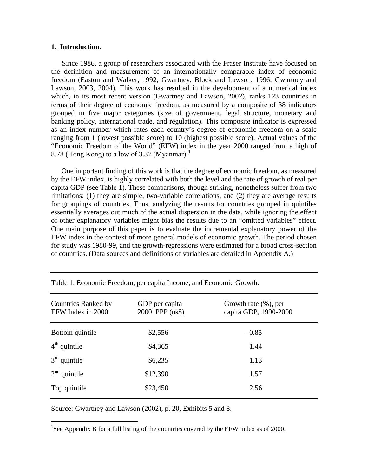#### **1. Introduction.**

Since 1986, a group of researchers associated with the Fraser Institute have focused on the definition and measurement of an internationally comparable index of economic freedom (Easton and Walker, 1992; Gwartney, Block and Lawson, 1996; Gwartney and Lawson, 2003, 2004). This work has resulted in the development of a numerical index which, in its most recent version (Gwartney and Lawson, 2002), ranks 123 countries in terms of their degree of economic freedom, as measured by a composite of 38 indicators grouped in five major categories (size of government, legal structure, monetary and banking policy, international trade, and regulation). This composite indicator is expressed as an index number which rates each country's degree of economic freedom on a scale ranging from 1 (lowest possible score) to 10 (highest possible score). Actual values of the "Economic Freedom of the World" (EFW) index in the year 2000 ranged from a high of 8.78 (Hong Kong) to a low of 3.37 (Myanmar).<sup>[1](#page-1-0)</sup>

One important finding of this work is that the degree of economic freedom, as measured by the EFW index, is highly correlated with both the level and the rate of growth of real per capita GDP (see Table 1). These comparisons, though striking, nonetheless suffer from two limitations: (1) they are simple, two-variable correlations, and (2) they are average results for groupings of countries. Thus, analyzing the results for countries grouped in quintiles essentially averages out much of the actual dispersion in the data, while ignoring the effect of other explanatory variables might bias the results due to an "omitted variables" effect. One main purpose of this paper is to evaluate the incremental explanatory power of the EFW index in the context of more general models of economic growth. The period chosen for study was 1980-99, and the growth-regressions were estimated for a broad cross-section of countries. (Data sources and definitions of variables are detailed in Appendix A.)

| <b>Countries Ranked by</b><br>EFW Index in 2000 | GDP per capita<br>2000 PPP (us\$) | Growth rate $(\%)$ , per<br>capita GDP, 1990-2000 |
|-------------------------------------------------|-----------------------------------|---------------------------------------------------|
| Bottom quintile                                 | \$2,556                           | $-0.85$                                           |
| $4th$ quintile                                  | \$4,365                           | 1.44                                              |
| $3rd$ quintile                                  | \$6,235                           | 1.13                                              |
| $2nd$ quintile                                  | \$12,390                          | 1.57                                              |
| Top quintile                                    | \$23,450                          | 2.56                                              |

Table 1. Economic Freedom, per capita Income, and Economic Growth.

Source: Gwartney and Lawson (2002), p. 20, Exhibits 5 and 8.

<u>.</u>

<span id="page-1-0"></span><sup>1</sup>See Appendix B for a full listing of the countries covered by the EFW index as of 2000.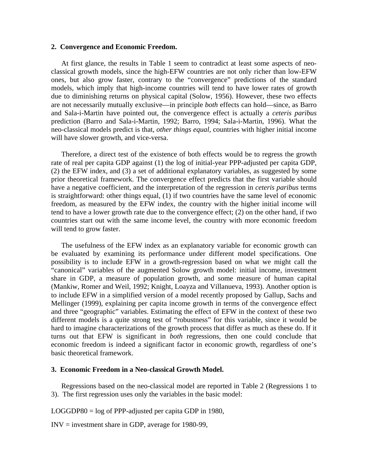#### **2. Convergence and Economic Freedom.**

At first glance, the results in Table 1 seem to contradict at least some aspects of neoclassical growth models, since the high-EFW countries are not only richer than low-EFW ones, but also grow faster, contrary to the "convergence" predictions of the standard models, which imply that high-income countries will tend to have lower rates of growth due to diminishing returns on physical capital (Solow, 1956). However, these two effects are not necessarily mutually exclusive—in principle *both* effects can hold—since, as Barro and Sala-i-Martin have pointed out, the convergence effect is actually a *ceteris paribus* prediction (Barro and Sala-i-Martin, 1992; Barro, 1994; Sala-i-Martin, 1996). What the neo-classical models predict is that, *other things equal*, countries with higher initial income will have slower growth, and vice-versa.

Therefore, a direct test of the existence of both effects would be to regress the growth rate of real per capita GDP against (1) the log of initial-year PPP-adjusted per capita GDP, (2) the EFW index, and (3) a set of additional explanatory variables, as suggested by some prior theoretical framework. The convergence effect predicts that the first variable should have a negative coefficient, and the interpretation of the regression in *ceteris paribus* terms is straightforward: other things equal, (1) if two countries have the same level of economic freedom, as measured by the EFW index, the country with the higher initial income will tend to have a lower growth rate due to the convergence effect; (2) on the other hand, if two countries start out with the same income level, the country with more economic freedom will tend to grow faster.

The usefulness of the EFW index as an explanatory variable for economic growth can be evaluated by examining its performance under different model specifications. One possibility is to include EFW in a growth-regression based on what we might call the "canonical" variables of the augmented Solow growth model: initial income, investment share in GDP, a measure of population growth, and some measure of human capital (Mankiw, Romer and Weil, 1992; Knight, Loayza and Villanueva, 1993). Another option is to include EFW in a simplified version of a model recently proposed by Gallup, Sachs and Mellinger (1999), explaining per capita income growth in terms of the convergence effect and three "geographic" variables. Estimating the effect of EFW in the context of these two different models is a quite strong test of "robustness" for this variable, since it would be hard to imagine characterizations of the growth process that differ as much as these do. If it turns out that EFW is significant in *both* regressions, then one could conclude that economic freedom is indeed a significant factor in economic growth, regardless of one's basic theoretical framework.

#### **3. Economic Freedom in a Neo-classical Growth Model.**

Regressions based on the neo-classical model are reported in Table 2 (Regressions 1 to 3). The first regression uses only the variables in the basic model:

LOGGDP80 = log of PPP-adjusted per capita GDP in 1980,

INV = investment share in GDP, average for 1980-99,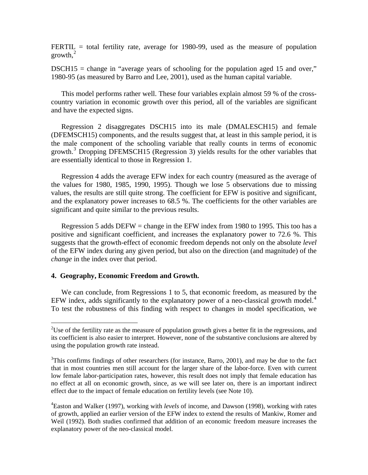FERTIL  $=$  total fertility rate, average for 1980-99, used as the measure of population  $growth<sup>2</sup>$  $growth<sup>2</sup>$  $growth<sup>2</sup>$ 

 $DSCH15$  = change in "average years of schooling for the population aged 15 and over," 1980-95 (as measured by Barro and Lee, 2001), used as the human capital variable.

This model performs rather well. These four variables explain almost 59 % of the crosscountry variation in economic growth over this period, all of the variables are significant and have the expected signs.

Regression 2 disaggregates DSCH15 into its male (DMALESCH15) and female (DFEMSCH15) components, and the results suggest that, at least in this sample period, it is the male component of the schooling variable that really counts in terms of economic growth.[3](#page-3-1) Dropping DFEMSCH15 (Regression 3) yields results for the other variables that are essentially identical to those in Regression 1.

Regression 4 adds the average EFW index for each country (measured as the average of the values for 1980, 1985, 1990, 1995). Though we lose 5 observations due to missing values, the results are still quite strong. The coefficient for EFW is positive and significant, and the explanatory power increases to 68.5 %. The coefficients for the other variables are significant and quite similar to the previous results.

Regression 5 adds DEFW = change in the EFW index from 1980 to 1995. This too has a positive and significant coefficient, and increases the explanatory power to 72.6 %. This suggests that the growth-effect of economic freedom depends not only on the absolute *level* of the EFW index during any given period, but also on the direction (and magnitude) of the *change* in the index over that period.

## **4. Geography, Economic Freedom and Growth.**

1

We can conclude, from Regressions 1 to 5, that economic freedom, as measured by the EFW index, adds significantly to the explanatory power of a neo-classical growth model.<sup>[4](#page-3-2)</sup> To test the robustness of this finding with respect to changes in model specification, we

<span id="page-3-0"></span><sup>&</sup>lt;sup>2</sup>Use of the fertility rate as the measure of population growth gives a better fit in the regressions, and its coefficient is also easier to interpret. However, none of the substantive conclusions are altered by using the population growth rate instead.

<span id="page-3-1"></span> $3$ This confirms findings of other researchers (for instance, Barro, 2001), and may be due to the fact that in most countries men still account for the larger share of the labor-force. Even with current low female labor-participation rates, however, this result does not imply that female education has no effect at all on economic growth, since, as we will see later on, there is an important indirect effect due to the impact of female education on fertility levels (see Note 10).

<span id="page-3-2"></span><sup>4</sup> Easton and Walker (1997), working with *levels* of income, and Dawson (1998), working with rates of growth, applied an earlier version of the EFW index to extend the results of Mankiw, Romer and Weil (1992). Both studies confirmed that addition of an economic freedom measure increases the explanatory power of the neo-classical model.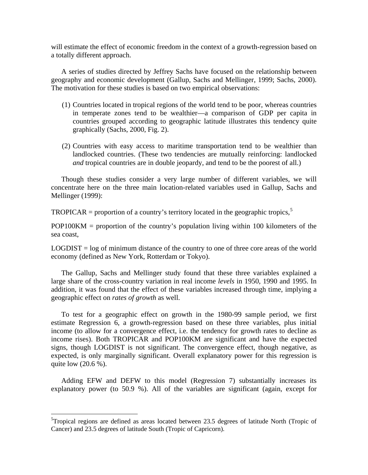will estimate the effect of economic freedom in the context of a growth-regression based on a totally different approach.

A series of studies directed by Jeffrey Sachs have focused on the relationship between geography and economic development (Gallup, Sachs and Mellinger, 1999; Sachs, 2000). The motivation for these studies is based on two empirical observations:

- (1) Countries located in tropical regions of the world tend to be poor, whereas countries in temperate zones tend to be wealthier—a comparison of GDP per capita in countries grouped according to geographic latitude illustrates this tendency quite graphically (Sachs, 2000, Fig. 2).
- (2) Countries with easy access to maritime transportation tend to be wealthier than landlocked countries. (These two tendencies are mutually reinforcing: landlocked *and* tropical countries are in double jeopardy, and tend to be the poorest of all.)

Though these studies consider a very large number of different variables, we will concentrate here on the three main location-related variables used in Gallup, Sachs and Mellinger (1999):

 $TROPICAR =$  proportion of a country's territory located in the geographic tropics,<sup>[5](#page-4-0)</sup>

POP100KM = proportion of the country's population living within 100 kilometers of the sea coast,

LOGDIST = log of minimum distance of the country to one of three core areas of the world economy (defined as New York, Rotterdam or Tokyo).

The Gallup, Sachs and Mellinger study found that these three variables explained a large share of the cross-country variation in real income *levels* in 1950, 1990 and 1995. In addition, it was found that the effect of these variables increased through time, implying a geographic effect on *rates of growth* as well.

To test for a geographic effect on growth in the 1980-99 sample period, we first estimate Regression 6, a growth-regression based on these three variables, plus initial income (to allow for a convergence effect, i.e. the tendency for growth rates to decline as income rises). Both TROPICAR and POP100KM are significant and have the expected signs, though LOGDIST is not significant. The convergence effect, though negative, as expected, is only marginally significant. Overall explanatory power for this regression is quite low (20.6 %).

Adding EFW and DEFW to this model (Regression 7) substantially increases its explanatory power (to 50.9 %). All of the variables are significant (again, except for

<span id="page-4-0"></span><sup>&</sup>lt;sup>5</sup>Tropical regions are defined as areas located between 23.5 degrees of latitude North (Tropic of Cancer) and 23.5 degrees of latitude South (Tropic of Capricorn).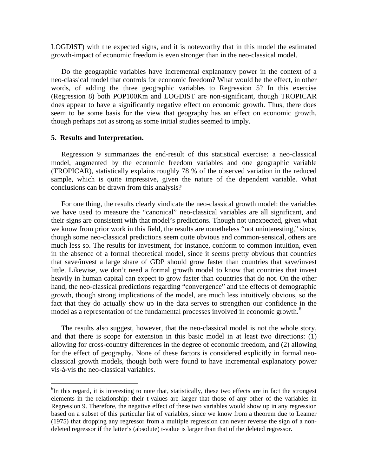LOGDIST) with the expected signs, and it is noteworthy that in this model the estimated growth-impact of economic freedom is even stronger than in the neo-classical model.

Do the geographic variables have incremental explanatory power in the context of a neo-classical model that controls for economic freedom? What would be the effect, in other words, of adding the three geographic variables to Regression 5? In this exercise (Regression 8) both POP100Km and LOGDIST are non-significant, though TROPICAR does appear to have a significantly negative effect on economic growth. Thus, there does seem to be some basis for the view that geography has an effect on economic growth, though perhaps not as strong as some initial studies seemed to imply.

#### **5. Results and Interpretation.**

1

Regression 9 summarizes the end-result of this statistical exercise: a neo-classical model, augmented by the economic freedom variables and one geographic variable (TROPICAR), statistically explains roughly 78 % of the observed variation in the reduced sample, which is quite impressive, given the nature of the dependent variable. What conclusions can be drawn from this analysis?

For one thing, the results clearly vindicate the neo-classical growth model: the variables we have used to measure the "canonical" neo-classical variables are all significant, and their signs are consistent with that model's predictions. Though not unexpected, given what we know from prior work in this field, the results are nonetheless "not uninteresting," since, though some neo-classical predictions seem quite obvious and common-sensical, others are much less so. The results for investment, for instance, conform to common intuition, even in the absence of a formal theoretical model, since it seems pretty obvious that countries that save/invest a large share of GDP should grow faster than countries that save/invest little. Likewise, we don't need a formal growth model to know that countries that invest heavily in human capital can expect to grow faster than countries that do not. On the other hand, the neo-classical predictions regarding "convergence" and the effects of demographic growth, though strong implications of the model, are much less intuitively obvious, so the fact that they do actually show up in the data serves to strengthen our confidence in the model as a representation of the fundamental processes involved in economic growth.<sup>[6](#page-5-0)</sup>

The results also suggest, however, that the neo-classical model is not the whole story, and that there is scope for extension in this basic model in at least two directions: (1) allowing for cross-country differences in the degree of economic freedom, and (2) allowing for the effect of geography. None of these factors is considered explicitly in formal neoclassical growth models, though both were found to have incremental explanatory power vis-à-vis the neo-classical variables.

<span id="page-5-0"></span><sup>&</sup>lt;sup>6</sup>In this regard, it is interesting to note that, statistically, these two effects are in fact the strongest elements in the relationship: their t-values are larger that those of any other of the variables in Regression 9. Therefore, the negative effect of these two variables would show up in any regression based on a subset of this particular list of variables, since we know from a theorem due to Leamer (1975) that dropping any regressor from a multiple regression can never reverse the sign of a nondeleted regressor if the latter's (absolute) t-value is larger than that of the deleted regressor.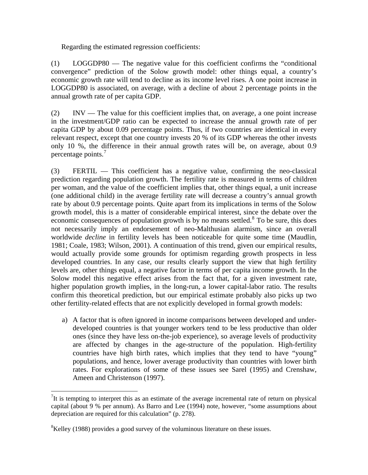Regarding the estimated regression coefficients:

(1) LOGGDP80 — The negative value for this coefficient confirms the "conditional convergence" prediction of the Solow growth model: other things equal, a country's economic growth rate will tend to decline as its income level rises. A one point increase in LOGGDP80 is associated, on average, with a decline of about 2 percentage points in the annual growth rate of per capita GDP.

(2) INV — The value for this coefficient implies that, on average, a one point increase in the investment/GDP ratio can be expected to increase the annual growth rate of per capita GDP by about 0.09 percentage points. Thus, if two countries are identical in every relevant respect, except that one country invests 20 % of its GDP whereas the other invests only 10 %, the difference in their annual growth rates will be, on average, about 0.9 percentage points.<sup>[7](#page-6-0)</sup>

(3) FERTIL — This coefficient has a negative value, confirming the neo-classical prediction regarding population growth. The fertility rate is measured in terms of children per woman, and the value of the coefficient implies that, other things equal, a unit increase (one additional child) in the average fertility rate will decrease a country's annual growth rate by about 0.9 percentage points. Quite apart from its implications in terms of the Solow growth model, this is a matter of considerable empirical interest, since the debate over the economic consequences of population growth is by no means settled. $8$  To be sure, this does not necessarily imply an endorsement of neo-Malthusian alarmism, since an overall worldwide *decline* in fertility levels has been noticeable for quite some time (Maudlin, 1981; Coale, 1983; Wilson, 2001). A continuation of this trend, given our empirical results, would actually provide some grounds for optimism regarding growth prospects in less developed countries. In any case, our results clearly support the view that high fertility levels are, other things equal, a negative factor in terms of per capita income growth. In the Solow model this negative effect arises from the fact that, for a given investment rate, higher population growth implies, in the long-run, a lower capital-labor ratio. The results confirm this theoretical prediction, but our empirical estimate probably also picks up two other fertility-related effects that are not explicitly developed in formal growth models:

a) A factor that is often ignored in income comparisons between developed and underdeveloped countries is that younger workers tend to be less productive than older ones (since they have less on-the-job experience), so average levels of productivity are affected by changes in the age-structure of the population. High-fertility countries have high birth rates, which implies that they tend to have "young" populations, and hence, lower average productivity than countries with lower birth rates. For explorations of some of these issues see Sarel (1995) and Crenshaw, Ameen and Christenson (1997).

<span id="page-6-0"></span><sup>&</sup>lt;sup>7</sup>It is tempting to interpret this as an estimate of the average incremental rate of return on physical capital (about 9 % per annum). As Barro and Lee (1994) note, however, "some assumptions about depreciation are required for this calculation" (p. 278).

<span id="page-6-1"></span> ${}^{8}$ Kelley (1988) provides a good survey of the voluminous literature on these issues.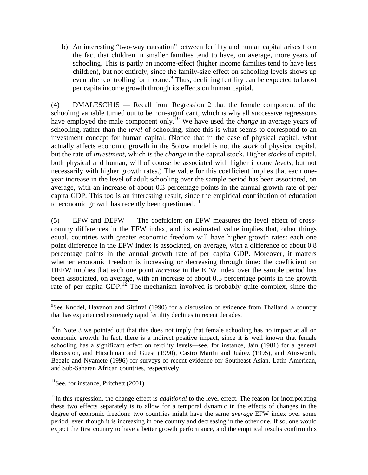b) An interesting "two-way causation" between fertility and human capital arises from the fact that children in smaller families tend to have, on average, more years of schooling. This is partly an income-effect (higher income families tend to have less children), but not entirely, since the family-size effect on schooling levels shows up even after controlling for income.<sup>[9](#page-7-0)</sup> Thus, declining fertility can be expected to boost per capita income growth through its effects on human capital.

(4) DMALESCH15 — Recall from Regression 2 that the female component of the schooling variable turned out to be non-significant, which is why all successive regressions have employed the male component only.<sup>[10](#page-7-1)</sup> We have used the *change* in average years of schooling, rather than the *level* of schooling, since this is what seems to correspond to an investment concept for human capital. (Notice that in the case of physical capital, what actually affects economic growth in the Solow model is not the *stock* of physical capital, but the rate of *investment*, which is the *change* in the capital stock. Higher *stocks* of capital, both physical and human, will of course be associated with higher income *levels*, but not necessarily with higher growth rates.) The value for this coefficient implies that each oneyear increase in the level of adult schooling over the sample period has been associated, on average, with an increase of about 0.3 percentage points in the annual growth rate of per capita GDP. This too is an interesting result, since the empirical contribution of education to economic growth has recently been questioned. $11$ 

(5) EFW and DEFW — The coefficient on EFW measures the level effect of crosscountry differences in the EFW index, and its estimated value implies that, other things equal, countries with greater economic freedom will have higher growth rates: each one point difference in the EFW index is associated, on average, with a difference of about 0.8 percentage points in the annual growth rate of per capita GDP. Moreover, it matters whether economic freedom is increasing or decreasing through time: the coefficient on DEFW implies that each one point *increase* in the EFW index over the sample period has been associated, on average, with an increase of about 0.5 percentage points in the growth rate of per capita GDP.<sup>[12](#page-7-3)</sup> The mechanism involved is probably quite complex, since the

<span id="page-7-2"></span> $11$ See, for instance, Pritchett (2001).

<span id="page-7-0"></span><sup>&</sup>lt;sup>9</sup>See Knodel, Havanon and Sittitrai (1990) for a discussion of evidence from Thailand, a country that has experienced extremely rapid fertility declines in recent decades.

<span id="page-7-1"></span> $10$ In Note 3 we pointed out that this does not imply that female schooling has no impact at all on economic growth. In fact, there is a indirect positive impact, since it is well known that female schooling has a significant effect on fertility levels—see, for instance, Jain (1981) for a general discussion, and Hirschman and Guest (1990), Castro Martín and Juárez (1995), and Ainsworth, Beegle and Nyamete (1996) for surveys of recent evidence for Southeast Asian, Latin American, and Sub-Saharan African countries, respectively.

<span id="page-7-3"></span><sup>&</sup>lt;sup>12</sup>In this regression, the change effect is *additional* to the level effect. The reason for incorporating these two effects separately is to allow for a temporal dynamic in the effects of changes in the degree of economic freedom: two countries might have the same *average* EFW index over some period, even though it is increasing in one country and decreasing in the other one. If so, one would expect the first country to have a better growth performance, and the empirical results confirm this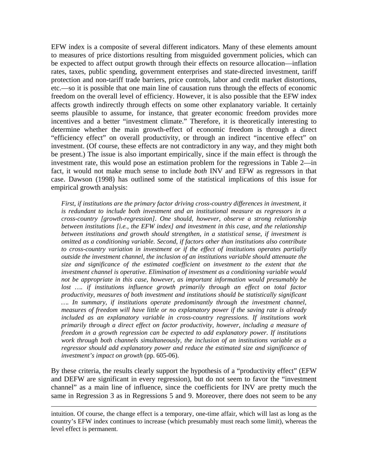EFW index is a composite of several different indicators. Many of these elements amount to measures of price distortions resulting from misguided government policies, which can be expected to affect output growth through their effects on resource allocation—inflation rates, taxes, public spending, government enterprises and state-directed investment, tariff protection and non-tariff trade barriers, price controls, labor and credit market distortions, etc.—so it is possible that one main line of causation runs through the effects of economic freedom on the overall level of efficiency. However, it is also possible that the EFW index affects growth indirectly through effects on some other explanatory variable. It certainly seems plausible to assume, for instance, that greater economic freedom provides more incentives and a better "investment climate." Therefore, it is theoretically interesting to determine whether the main growth-effect of economic freedom is through a direct "efficiency effect" on overall productivity, or through an indirect "incentive effect" on investment. (Of course, these effects are not contradictory in any way, and they might both be present.) The issue is also important empirically, since if the main effect is through the investment rate, this would pose an estimation problem for the regressions in Table 2—in fact, it would not make much sense to include *both* INV and EFW as regressors in that case. Dawson (1998) has outlined some of the statistical implications of this issue for empirical growth analysis:

*First, if institutions are the primary factor driving cross-country differences in investment, it is redundant to include both investment and an institutional measure as regressors in a cross-country [growth-regression]. One should, however, observe a strong relationship between institutions [i.e., the EFW index] and investment in this case, and the relationship between institutions and growth should strengthen, in a statistical sense, if investment is omitted as a conditioning variable. Second, if factors other than institutions also contribute to cross-country variation in investment or if the effect of institutions operates partially outside the investment channel, the inclusion of an institutions variable should attenuate the size and significance of the estimated coefficient on investment to the extent that the investment channel is operative. Elimination of investment as a conditioning variable would not be appropriate in this case, however, as important information would presumably be*  lost .... if institutions influence growth primarily through an effect on total factor *productivity, measures of both investment and institutions should be statistically significant …. In summary, if institutions operate predominantly through the investment channel, measures of freedom will have little or no explanatory power if the saving rate is already included as an explanatory variable in cross-country regressions. If institutions work primarily through a direct effect on factor productivity, however, including a measure of freedom in a growth regression can be expected to add explanatory power. If institutions work through both channels simultaneously, the inclusion of an institutions variable as a regressor should add explanatory power and reduce the estimated size and significance of investment's impact on growth* (pp. 605-06).

By these criteria, the results clearly support the hypothesis of a "productivity effect" (EFW and DEFW are significant in every regression), but do not seem to favor the "investment channel" as a main line of influence, since the coefficients for INV are pretty much the same in Regression 3 as in Regressions 5 and 9. Moreover, there does not seem to be any

intuition. Of course, the change effect is a temporary, one-time affair, which will last as long as the country's EFW index continues to increase (which presumably must reach some limit), whereas the level effect is permanent.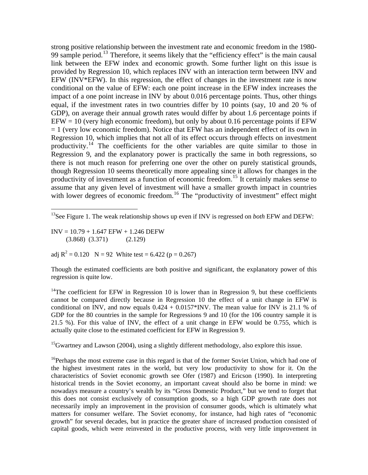strong positive relationship between the investment rate and economic freedom in the 1980- 99 sample period.<sup>[13](#page-9-0)</sup> Therefore, it seems likely that the "efficiency effect" is the main causal link between the EFW index and economic growth. Some further light on this issue is provided by Regression 10, which replaces INV with an interaction term between INV and EFW (INV\*EFW). In this regression, the effect of changes in the investment rate is now conditional on the value of EFW: each one point increase in the EFW index increases the impact of a one point increase in INV by about 0.016 percentage points. Thus, other things equal, if the investment rates in two countries differ by 10 points (say, 10 and 20 % of GDP), on average their annual growth rates would differ by about 1.6 percentage points if  $EFW = 10$  (very high economic freedom), but only by about 0.16 percentage points if  $EFW$  $= 1$  (very low economic freedom). Notice that EFW has an independent effect of its own in Regression 10, which implies that not all of its effect occurs through effects on investment productivity.[14](#page-9-1) The coefficients for the other variables are quite similar to those in Regression 9, and the explanatory power is practically the same in both regressions, so there is not much reason for preferring one over the other on purely statistical grounds, though Regression 10 seems theoretically more appealing since it allows for changes in the productivity of investment as a function of economic freedom.<sup>[15](#page-9-2)</sup> It certainly makes sense to assume that any given level of investment will have a smaller growth impact in countries with lower degrees of economic freedom.<sup>[16](#page-9-3)</sup> The "productivity of investment" effect might

 $INV = 10.79 + 1.647$  EFW + 1.246 DEFW (3.868) (3.371) (2.129)

1

adj  $R^2 = 0.120$  N = 92 White test = 6.422 (p = 0.267)

Though the estimated coefficients are both positive and significant, the explanatory power of this regression is quite low.

<span id="page-9-1"></span><sup>14</sup>The coefficient for EFW in Regression 10 is lower than in Regression 9, but these coefficients cannot be compared directly because in Regression 10 the effect of a unit change in EFW is conditional on INV, and now equals  $0.424 + 0.0157*$  INV. The mean value for INV is 21.1 % of GDP for the 80 countries in the sample for Regressions 9 and 10 (for the 106 country sample it is 21.5 %). For this value of INV, the effect of a unit change in EFW would be 0.755, which is actually quite close to the estimated coefficient for EFW in Regression 9.

<span id="page-9-2"></span><sup>15</sup>Gwartney and Lawson (2004), using a slightly different methodology, also explore this issue.

<span id="page-9-3"></span><sup>16</sup>Perhaps the most extreme case in this regard is that of the former Soviet Union, which had one of the highest investment rates in the world, but very low productivity to show for it. On the characteristics of Soviet economic growth see Ofer (1987) and Ericson (1990). In interpreting historical trends in the Soviet economy, an important caveat should also be borne in mind: we nowadays measure a country's wealth by its "Gross Domestic Product," but we tend to forget that this does not consist exclusively of consumption goods, so a high GDP growth rate does not necessarily imply an improvement in the provision of consumer goods, which is ultimately what matters for consumer welfare. The Soviet economy, for instance, had high rates of "economic growth" for several decades, but in practice the greater share of increased production consisted of capital goods, which were reinvested in the productive process, with very little improvement in

<span id="page-9-0"></span><sup>13</sup>See Figure 1. The weak relationship shows up even if INV is regressed on *both* EFW and DEFW: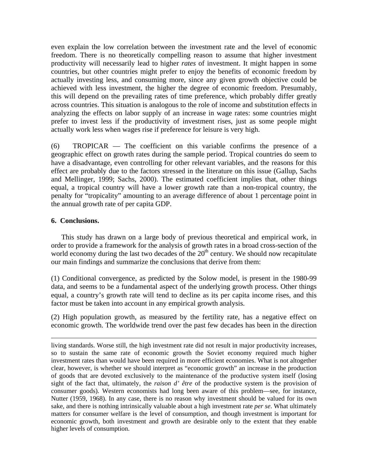even explain the low correlation between the investment rate and the level of economic freedom. There is no theoretically compelling reason to assume that higher investment productivity will necessarily lead to higher *rates* of investment. It might happen in some countries, but other countries might prefer to enjoy the benefits of economic freedom by actually investing less, and consuming more, since any given growth objective could be achieved with less investment, the higher the degree of economic freedom. Presumably, this will depend on the prevailing rates of time preference, which probably differ greatly across countries. This situation is analogous to the role of income and substitution effects in analyzing the effects on labor supply of an increase in wage rates: some countries might prefer to invest less if the productivity of investment rises, just as some people might actually work less when wages rise if preference for leisure is very high.

(6) TROPICAR — The coefficient on this variable confirms the presence of a geographic effect on growth rates during the sample period. Tropical countries do seem to have a disadvantage, even controlling for other relevant variables, and the reasons for this effect are probably due to the factors stressed in the literature on this issue (Gallup, Sachs and Mellinger, 1999; Sachs, 2000). The estimated coefficient implies that, other things equal, a tropical country will have a lower growth rate than a non-tropical country, the penalty for "tropicality" amounting to an average difference of about 1 percentage point in the annual growth rate of per capita GDP.

## **6. Conclusions.**

<u>.</u>

This study has drawn on a large body of previous theoretical and empirical work, in order to provide a framework for the analysis of growth rates in a broad cross-section of the world economy during the last two decades of the  $20<sup>th</sup>$  century. We should now recapitulate our main findings and summarize the conclusions that derive from them:

(1) Conditional convergence, as predicted by the Solow model, is present in the 1980-99 data, and seems to be a fundamental aspect of the underlying growth process. Other things equal, a country's growth rate will tend to decline as its per capita income rises, and this factor must be taken into account in any empirical growth analysis.

(2) High population growth, as measured by the fertility rate, has a negative effect on economic growth. The worldwide trend over the past few decades has been in the direction

living standards. Worse still, the high investment rate did not result in major productivity increases, so to sustain the same rate of economic growth the Soviet economy required much higher investment rates than would have been required in more efficient economies. What is not altogether clear, however, is whether we should interpret as "economic growth" an increase in the production of goods that are devoted exclusively to the maintenance of the productive system itself (losing sight of the fact that, ultimately, the *raison d' être* of the productive system is the provision of consumer goods). Western economists had long been aware of this problem—see, for instance, Nutter (1959, 1968). In any case, there is no reason why investment should be valued for its own sake, and there is nothing intrinsically valuable about a high investment rate *per se*. What ultimately matters for consumer welfare is the level of consumption, and though investment is important for economic growth, both investment and growth are desirable only to the extent that they enable higher levels of consumption.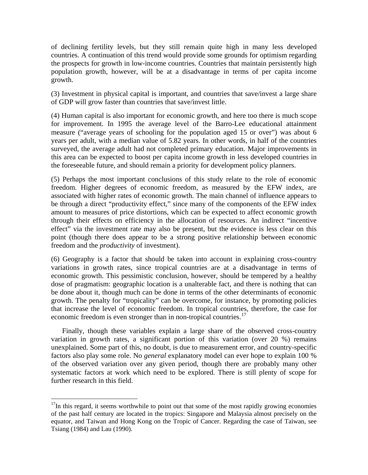of declining fertility levels, but they still remain quite high in many less developed countries. A continuation of this trend would provide some grounds for optimism regarding the prospects for growth in low-income countries. Countries that maintain persistently high population growth, however, will be at a disadvantage in terms of per capita income growth.

(3) Investment in physical capital is important, and countries that save/invest a large share of GDP will grow faster than countries that save/invest little.

(4) Human capital is also important for economic growth, and here too there is much scope for improvement. In 1995 the average level of the Barro-Lee educational attainment measure ("average years of schooling for the population aged 15 or over") was about 6 years per adult, with a median value of 5.82 years. In other words, in half of the countries surveyed, the average adult had not completed primary education. Major improvements in this area can be expected to boost per capita income growth in less developed countries in the foreseeable future, and should remain a priority for development policy planners.

(5) Perhaps the most important conclusions of this study relate to the role of economic freedom. Higher degrees of economic freedom, as measured by the EFW index, are associated with higher rates of economic growth. The main channel of influence appears to be through a direct "productivity effect," since many of the components of the EFW index amount to measures of price distortions, which can be expected to affect economic growth through their effects on efficiency in the allocation of resources. An indirect "incentive effect" via the investment rate may also be present, but the evidence is less clear on this point (though there does appear to be a strong positive relationship between economic freedom and the *productivity* of investment).

(6) Geography is a factor that should be taken into account in explaining cross-country variations in growth rates, since tropical countries are at a disadvantage in terms of economic growth. This pessimistic conclusion, however, should be tempered by a healthy dose of pragmatism: geographic location is a unalterable fact, and there is nothing that can be done about it, though much can be done in terms of the other determinants of economic growth. The penalty for "tropicality" can be overcome, for instance, by promoting policies that increase the level of economic freedom. In tropical countries, therefore, the case for economic freedom is even stronger than in non-tropical countries.<sup>[17](#page-11-0)</sup>

Finally, though these variables explain a large share of the observed cross-country variation in growth rates, a significant portion of this variation (over 20 %) remains unexplained. Some part of this, no doubt, is due to measurement error, and country-specific factors also play some role. No *general* explanatory model can ever hope to explain 100 % of the observed variation over any given period, though there are probably many other systematic factors at work which need to be explored. There is still plenty of scope for further research in this field.

<u>.</u>

<span id="page-11-0"></span> $17$ In this regard, it seems worthwhile to point out that some of the most rapidly growing economies of the past half century are located in the tropics: Singapore and Malaysia almost precisely on the equator, and Taiwan and Hong Kong on the Tropic of Cancer. Regarding the case of Taiwan, see Tsiang (1984) and Lau (1990).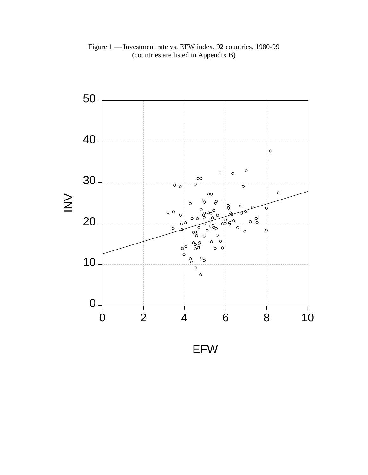Figure 1 — Investment rate vs. EFW index, 92 countries, 1980-99 (countries are listed in Appendix B)



EFW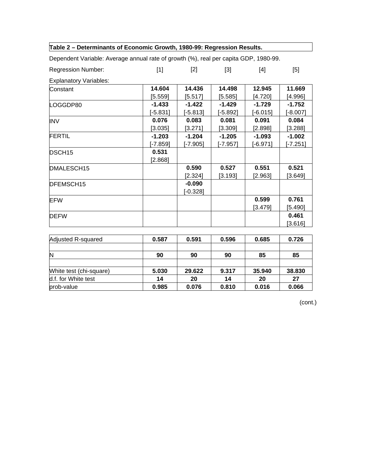| Table 2 - Determinants of Economic Growth, 1980-99: Regression Results.              |            |            |            |            |            |
|--------------------------------------------------------------------------------------|------------|------------|------------|------------|------------|
| Dependent Variable: Average annual rate of growth (%), real per capita GDP, 1980-99. |            |            |            |            |            |
| <b>Regression Number:</b>                                                            | $[1]$      | $[2]$      | $[3]$      | [4]        | $[5]$      |
| <b>Explanatory Variables:</b>                                                        |            |            |            |            |            |
| Constant                                                                             | 14.604     | 14.436     | 14.498     | 12.945     | 11.669     |
|                                                                                      | [5.559]    | [5.517]    | [5.585]    | [4.720]    | [4.996]    |
| LOGGDP80                                                                             | $-1.433$   | $-1.422$   | $-1.429$   | $-1.729$   | $-1.752$   |
|                                                                                      | $[-5.831]$ | $[-5.813]$ | $[-5.892]$ | $[-6.015]$ | $[-8.007]$ |
| <b>INV</b>                                                                           | 0.076      | 0.083      | 0.081      | 0.091      | 0.084      |
|                                                                                      | [3.035]    | [3.271]    | [3.309]    | [2.898]    | [3.288]    |
| <b>FERTIL</b>                                                                        | $-1.203$   | $-1.204$   | $-1.205$   | $-1.093$   | $-1.002$   |
|                                                                                      | $[-7.859]$ | $[-7.905]$ | [-7.957]   | [-6.971]   | $[-7.251]$ |
| DSCH <sub>15</sub>                                                                   | 0.531      |            |            |            |            |
|                                                                                      | [2.868]    |            |            |            |            |
| DMALESCH15                                                                           |            | 0.590      | 0.527      | 0.551      | 0.521      |
|                                                                                      |            | [2.324]    | [3.193]    | [2.963]    | [3.649]    |
| DFEMSCH15                                                                            |            | $-0.090$   |            |            |            |
|                                                                                      |            | $[-0.328]$ |            |            |            |
| <b>EFW</b>                                                                           |            |            |            | 0.599      | 0.761      |
|                                                                                      |            |            |            | [3.479]    | [5.490]    |
| <b>DEFW</b>                                                                          |            |            |            |            | 0.461      |
|                                                                                      |            |            |            |            | [3.616]    |
|                                                                                      | 0.587      | 0.591      | 0.596      | 0.685      | 0.726      |
| Adjusted R-squared                                                                   |            |            |            |            |            |
| <b>NI</b>                                                                            | nn.        | nη         | nn.        | OE.        | OE.        |

| Adjusted R-squared      | 0.587 | 0.591  | 0.596 | 0.685  | 0.726  |
|-------------------------|-------|--------|-------|--------|--------|
| N                       | 90    | 90     | 90    | 85     | 85     |
|                         |       |        |       |        |        |
| White test (chi-square) | 5.030 | 29.622 | 9.317 | 35.940 | 38.830 |
| d.f. for White test     | 14    | 20     | 14    | 20     | 27     |
| prob-value              | 0.985 | 0.076  | 0.810 | 0.016  | 0.066  |

(cont.)

┑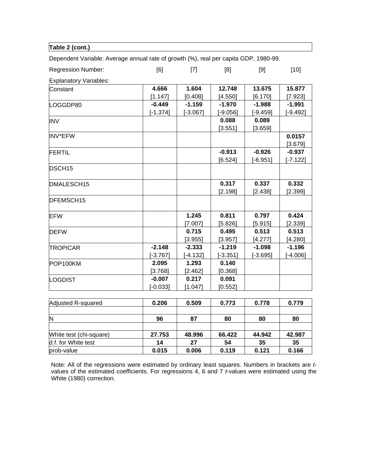| Dependent Variable: Average annual rate of growth (%), real per capita GDP, 1980-99. |            |            |            |            |            |
|--------------------------------------------------------------------------------------|------------|------------|------------|------------|------------|
| <b>Regression Number:</b>                                                            | [6]        | $[7]$      | [8]        | [9]        | $[10]$     |
| <b>Explanatory Variables:</b>                                                        |            |            |            |            |            |
| Constant                                                                             | 4.666      | 1.604      | 12.748     | 13.675     | 15.877     |
|                                                                                      | [1.147]    | [0.408]    | [4.550]    | [6.170]    | [7.923]    |
| LOGGDP80                                                                             | $-0.449$   | $-1.159$   | $-1.970$   | $-1.988$   | $-1.991$   |
|                                                                                      | $[-1.374]$ | $[-3.067]$ | $[-9.056]$ | $[-9.459]$ | $[-9.492]$ |
| <b>INV</b>                                                                           |            |            | 0.088      | 0.089      |            |
|                                                                                      |            |            | [3.551]    | [3.659]    |            |
| <b>INV*EFW</b>                                                                       |            |            |            |            | 0.0157     |
|                                                                                      |            |            |            |            | [3.679]    |
| <b>FERTIL</b>                                                                        |            |            | $-0.913$   | $-0.926$   | $-0.937$   |
|                                                                                      |            |            | [6.524]    | $[-6.951]$ | $[-7.122]$ |
| DSCH <sub>15</sub>                                                                   |            |            |            |            |            |
| DMALESCH15                                                                           |            |            | 0.317      | 0.337      | 0.332      |
|                                                                                      |            |            | [2.198]    | [2.438]    | [2.399]    |
| DFEMSCH15                                                                            |            |            |            |            |            |
| <b>EFW</b>                                                                           |            | 1.245      | 0.811      | 0.797      | 0.424      |
|                                                                                      |            | [7.007]    | [5.826]    | [5.915]    | [2.339]    |
| <b>DEFW</b>                                                                          |            | 0.715      | 0.495      | 0.513      | 0.513      |
|                                                                                      |            | [3.955]    | [3.957]    | [4.277]    | [4.280]    |
| <b>TROPICAR</b>                                                                      | $-2.148$   | $-2.333$   | $-1.219$   | $-1.098$   | $-1.196$   |
|                                                                                      | $[-3.767]$ | $[-4.132]$ | $[-3.351]$ | $[-3.695]$ | $[-4.006]$ |
| POP100KM                                                                             | 2.095      | 1.293      | 0.140      |            |            |
|                                                                                      | [3.768]    | [2.462]    | [0.368]    |            |            |
| LOGDIST                                                                              | $-0.007$   | 0.217      | 0.091      |            |            |
|                                                                                      | $[-0.033]$ | [1.047]    | [0.552]    |            |            |

**Table 2 (cont.)** 

| Adjusted R-squared      | 0.206  | 0.509  | 0.773  | 0.778  | 0.779  |
|-------------------------|--------|--------|--------|--------|--------|
|                         |        |        |        |        |        |
| N                       | 96     | 87     | 80     | 80     | 80     |
|                         |        |        |        |        |        |
| White test (chi-square) | 27.753 | 48.996 | 66.422 | 44.942 | 42.987 |
| d.f. for White test     | 14     | 27     | 54     | 35     | 35     |
| prob-value              | 0.015  | 0.006  | 0.119  | 0.121  | 0.166  |

Note: All of the regressions were estimated by ordinary least squares. Numbers in brackets are *t*values of the estimated coefficients. For regressions 4, 6 and 7 *t*-values were estimated using the White (1980) correction.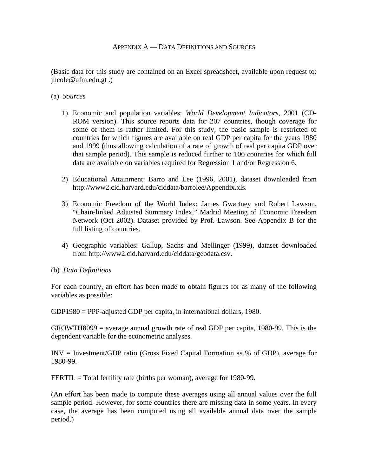(Basic data for this study are contained on an Excel spreadsheet, available upon request to: jhcole@ufm.edu.gt .)

- (a) *Sources* 
	- 1) Economic and population variables: *World Development Indicators*, 2001 (CD-ROM version). This source reports data for 207 countries, though coverage for some of them is rather limited. For this study, the basic sample is restricted to countries for which figures are available on real GDP per capita for the years 1980 and 1999 (thus allowing calculation of a rate of growth of real per capita GDP over that sample period). This sample is reduced further to 106 countries for which full data are available on variables required for Regression 1 and/or Regression 6.
	- 2) Educational Attainment: Barro and Lee (1996, 2001), dataset downloaded from http://www2.cid.harvard.edu/ciddata/barrolee/Appendix.xls.
	- 3) Economic Freedom of the World Index: James Gwartney and Robert Lawson, "Chain-linked Adjusted Summary Index," Madrid Meeting of Economic Freedom Network (Oct 2002). Dataset provided by Prof. Lawson. See Appendix B for the full listing of countries.
	- 4) Geographic variables: Gallup, Sachs and Mellinger (1999), dataset downloaded from http://www2.cid.harvard.edu/ciddata/geodata.csv.
- (b) *Data Definitions*

For each country, an effort has been made to obtain figures for as many of the following variables as possible:

GDP1980 = PPP-adjusted GDP per capita, in international dollars, 1980.

GROWTH8099 = average annual growth rate of real GDP per capita, 1980-99. This is the dependent variable for the econometric analyses.

INV = Investment/GDP ratio (Gross Fixed Capital Formation as % of GDP), average for 1980-99.

FERTIL = Total fertility rate (births per woman), average for 1980-99.

(An effort has been made to compute these averages using all annual values over the full sample period. However, for some countries there are missing data in some years. In every case, the average has been computed using all available annual data over the sample period.)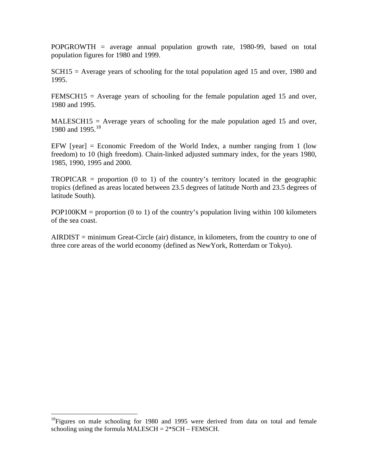POPGROWTH = average annual population growth rate, 1980-99, based on total population figures for 1980 and 1999.

 $SCH15$  = Average years of schooling for the total population aged 15 and over, 1980 and 1995.

FEMSCH15 = Average years of schooling for the female population aged 15 and over, 1980 and 1995.

 $MALESCH15 = Average years of schooling for the male population aged 15 and over,$ 1980 and 1995.<sup>[18](#page-16-0)</sup>

EFW  $[year] = Economic Freedom of the World Index, a number ranging from 1 (low$ freedom) to 10 (high freedom). Chain-linked adjusted summary index, for the years 1980, 1985, 1990, 1995 and 2000.

 $TROPICAR = proportion (0 to 1)$  of the country's territory located in the geographic tropics (defined as areas located between 23.5 degrees of latitude North and 23.5 degrees of latitude South).

 $POP100KM = proportion (0 to 1)$  of the country's population living within 100 kilometers of the sea coast.

 $AIRDIST = minimum Great-Circle (air) distance, in kilometers, from the country to one of$ three core areas of the world economy (defined as NewYork, Rotterdam or Tokyo).

<span id="page-16-0"></span> $18$ Figures on male schooling for 1980 and 1995 were derived from data on total and female schooling using the formula MALESCH =  $2*SCH$  – FEMSCH.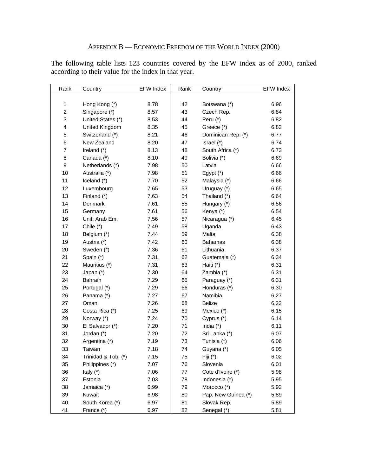The following table lists 123 countries covered by the EFW index as of 2000, ranked according to their value for the index in that year.

| Rank           | Country             | <b>EFW Index</b> | Rank | Country             | <b>EFW Index</b> |
|----------------|---------------------|------------------|------|---------------------|------------------|
|                |                     |                  |      |                     |                  |
| 1              | Hong Kong (*)       | 8.78             | 42   | Botswana (*)        | 6.96             |
| $\overline{c}$ | Singapore (*)       | 8.57             | 43   | Czech Rep.          | 6.84             |
| 3              | United States (*)   | 8.53             | 44   | Peru $(*)$          | 6.82             |
| 4              | United Kingdom      | 8.35             | 45   | Greece (*)          | 6.82             |
| 5              | Switzerland (*)     | 8.21             | 46   | Dominican Rep. (*)  | 6.77             |
| 6              | New Zealand         | 8.20             | 47   | Israel (*)          | 6.74             |
| $\overline{7}$ | Ireland (*)         | 8.13             | 48   | South Africa (*)    | 6.73             |
| 8              | Canada (*)          | 8.10             | 49   | Bolivia (*)         | 6.69             |
| 9              | Netherlands (*)     | 7.98             | 50   | Latvia              | 6.66             |
| 10             | Australia (*)       | 7.98             | 51   | Egypt $(*)$         | 6.66             |
| 11             | Iceland (*)         | 7.70             | 52   | Malaysia (*)        | 6.66             |
| 12             | Luxembourg          | 7.65             | 53   | Uruguay (*)         | 6.65             |
| 13             | Finland (*)         | 7.63             | 54   | Thailand (*)        | 6.64             |
| 14             | Denmark             | 7.61             | 55   | Hungary (*)         | 6.56             |
| 15             | Germany             | 7.61             | 56   | Kenya (*)           | 6.54             |
| 16             | Unit. Arab Em.      | 7.56             | 57   | Nicaragua (*)       | 6.45             |
| 17             | Chile (*)           | 7.49             | 58   | Uganda              | 6.43             |
| 18             | Belgium (*)         | 7.44             | 59   | Malta               | 6.38             |
| 19             | Austria (*)         | 7.42             | 60   | <b>Bahamas</b>      | 6.38             |
| 20             | Sweden (*)          | 7.36             | 61   | Lithuania           | 6.37             |
| 21             | Spain (*)           | 7.31             | 62   | Guatemala (*)       | 6.34             |
| 22             | Mauritius (*)       | 7.31             | 63   | Haiti (*)           | 6.31             |
| 23             | Japan (*)           | 7.30             | 64   | Zambia (*)          | 6.31             |
| 24             | Bahrain             | 7.29             | 65   | Paraguay (*)        | 6.31             |
| 25             | Portugal (*)        | 7.29             | 66   | Honduras (*)        | 6.30             |
| 26             | Panama (*)          | 7.27             | 67   | Namibia             | 6.27             |
| 27             | Oman                | 7.26             | 68   | Belize              | 6.22             |
| 28             | Costa Rica (*)      | 7.25             | 69   | Mexico (*)          | 6.15             |
| 29             | Norway (*)          | 7.24             | 70   | Cyprus (*)          | 6.14             |
| 30             | El Salvador (*)     | 7.20             | 71   | India $(*)$         | 6.11             |
| 31             | Jordan (*)          | 7.20             | 72   | Sri Lanka (*)       | 6.07             |
| 32             | Argentina (*)       | 7.19             | 73   | Tunisia (*)         | 6.06             |
| 33             | Taiwan              | 7.18             | 74   | Guyana (*)          | 6.05             |
| 34             | Trinidad & Tob. (*) | 7.15             | 75   | Fiji (*)            | 6.02             |
| 35             | Philippines (*)     | 7.07             | 76   | Slovenia            | 6.01             |
| 36             | Italy $(*)$         | 7.06             | 77   | Cote d'Ivoire (*)   | 5.98             |
| 37             | Estonia             | 7.03             | 78   | Indonesia (*)       | 5.95             |
| 38             | Jamaica (*)         | 6.99             | 79   | Morocco (*)         | 5.92             |
| 39             | Kuwait              | 6.98             | 80   | Pap. New Guinea (*) | 5.89             |
| 40             | South Korea (*)     | 6.97             | 81   | Slovak Rep.         | 5.89             |
| 41             | France (*)          | 6.97             | 82   | Senegal (*)         | 5.81             |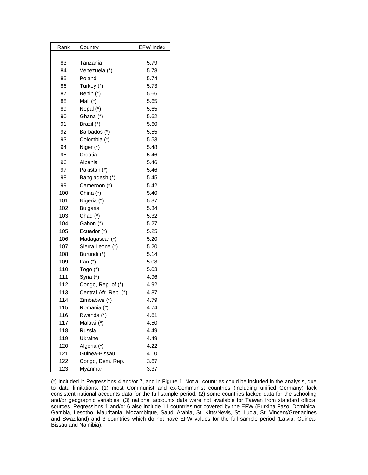| Rank | Country               | <b>EFW Index</b> |
|------|-----------------------|------------------|
|      |                       |                  |
| 83   | Tanzania              | 5.79             |
| 84   | Venezuela (*)         | 5.78             |
| 85   | Poland                | 5.74             |
| 86   | Turkey (*)            | 5.73             |
| 87   | Benin (*)             | 5.66             |
| 88   | Mali (*)              | 5.65             |
| 89   | Nepal (*)             | 5.65             |
| 90   | Ghana (*)             | 5.62             |
| 91   | Brazil (*)            | 5.60             |
| 92   | Barbados (*)          | 5.55             |
| 93   | Colombia (*)          | 5.53             |
| 94   | Niger (*)             | 5.48             |
| 95   | Croatia               | 5.46             |
| 96   | Albania               | 5.46             |
| 97   | Pakistan (*)          | 5.46             |
| 98   | Bangladesh (*)        | 5.45             |
| 99   | Cameroon (*)          | 5.42             |
| 100  | China (*)             | 5.40             |
| 101  | Nigeria (*)           | 5.37             |
| 102  | <b>Bulgaria</b>       | 5.34             |
| 103  | Chad (*)              | 5.32             |
| 104  | Gabon (*)             | 5.27             |
| 105  | Ecuador (*)           | 5.25             |
| 106  | Madagascar (*)        | 5.20             |
| 107  | Sierra Leone (*)      | 5.20             |
| 108  | Burundi (*)           | 5.14             |
| 109  | Iran $(*)$            | 5.08             |
| 110  | Togo $(*)$            | 5.03             |
| 111  | Syria (*)             | 4.96             |
| 112  | Congo, Rep. of (*)    | 4.92             |
| 113  | Central Afr. Rep. (*) | 4.87             |
| 114  | Zimbabwe (*)          | 4.79             |
| 115  | Romania (*)           | 4.74             |
| 116  | Rwanda (*)            | 4.61             |
| 117  | Malawi (*)            | 4.50             |
| 118  | Russia                | 4.49             |
| 119  | Ukraine               | 4.49             |
| 120  | Algeria (*)           | 4.22             |
| 121  | Guinea-Bissau         | 4.10             |
| 122  | Congo, Dem. Rep.      | 3.67             |
| 123  | Myanmar               | 3.37             |

(\*) Included in Regressions 4 and/or 7, and in Figure 1. Not all countries could be included in the analysis, due to data limitations: (1) most Communist and ex-Communist countries (including unified Germany) lack consistent national accounts data for the full sample period, (2) some countries lacked data for the schooling and/or geographic variables, (3) national accounts data were not available for Taiwan from standard official sources. Regressions 1 and/or 6 also include 11 countries not covered by the EFW (Burkina Faso, Dominica, Gambia, Lesotho, Mauritania, Mozambique, Saudi Arabia, St. Kitts/Nevis, St. Lucia, St. Vincent/Grenadines and Swaziland) and 3 countries which do not have EFW values for the full sample period (Latvia, Guinea-Bissau and Namibia).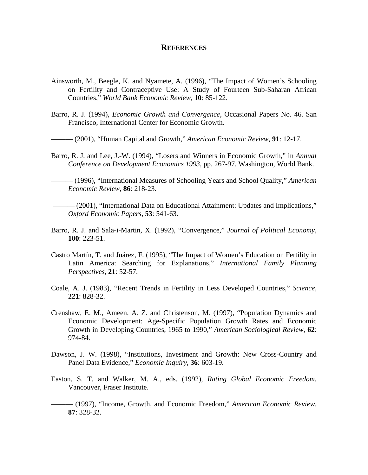### **REFERENCES**

- Ainsworth, M., Beegle, K. and Nyamete, A. (1996), "The Impact of Women's Schooling on Fertility and Contraceptive Use: A Study of Fourteen Sub-Saharan African Countries," *World Bank Economic Review*, **10**: 85-122.
- Barro, R. J. (1994), *Economic Growth and Convergence*, Occasional Papers No. 46. San Francisco, International Center for Economic Growth.
- ——— (2001), "Human Capital and Growth," *American Economic Review*, **91**: 12-17.
- Barro, R. J. and Lee, J.-W. (1994), "Losers and Winners in Economic Growth," in *Annual Conference on Development Economics 1993*, pp. 267-97. Washington, World Bank.

——— (1996), "International Measures of Schooling Years and School Quality," *American Economic Review*, **86**: 218-23.

- ——— (2001), "International Data on Educational Attainment: Updates and Implications," *Oxford Economic Papers*, **53**: 541-63.
- Barro, R. J. and Sala-i-Martin, X. (1992), "Convergence," *Journal of Political Economy*, **100**: 223-51.
- Castro Martín, T. and Juárez, F. (1995), "The Impact of Women's Education on Fertility in Latin America: Searching for Explanations," *International Family Planning Perspectives*, **21**: 52-57.
- Coale, A. J. (1983), "Recent Trends in Fertility in Less Developed Countries," *Science*, **221**: 828-32.
- Crenshaw, E. M., Ameen, A. Z. and Christenson, M. (1997), "Population Dynamics and Economic Development: Age-Specific Population Growth Rates and Economic Growth in Developing Countries, 1965 to 1990," *American Sociological Review*, **62**: 974-84.
- Dawson, J. W. (1998), "Institutions, Investment and Growth: New Cross-Country and Panel Data Evidence," *Economic Inquiry*, **36**: 603-19.
- Easton, S. T. and Walker, M. A., eds. (1992), *Rating Global Economic Freedom.* Vancouver, Fraser Institute.
- ——— (1997), "Income, Growth, and Economic Freedom," *American Economic Review*, **87**: 328-32.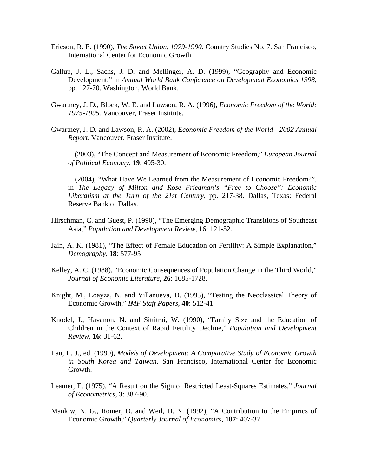- Ericson, R. E. (1990), *The Soviet Union, 1979-1990*. Country Studies No. 7. San Francisco, International Center for Economic Growth.
- Gallup, J. L., Sachs, J. D. and Mellinger, A. D. (1999), "Geography and Economic Development," in *Annual World Bank Conference on Development Economics 1998*, pp. 127-70. Washington, World Bank.
- Gwartney, J. D., Block, W. E. and Lawson, R. A. (1996), *Economic Freedom of the World: 1975-1995.* Vancouver, Fraser Institute.
- Gwartney, J. D. and Lawson, R. A. (2002), *Economic Freedom of the World—2002 Annual Report*, Vancouver, Fraser Institute.
- ——— (2003), "The Concept and Measurement of Economic Freedom," *European Journal of Political Economy*, **19**: 405-30.
- ——— (2004), "What Have We Learned from the Measurement of Economic Freedom?", in *The Legacy of Milton and Rose Friedman's "Free to Choose": Economic Liberalism at the Turn of the 21st Century*, pp. 217-38. Dallas, Texas: Federal Reserve Bank of Dallas.
- Hirschman, C. and Guest, P. (1990), "The Emerging Demographic Transitions of Southeast Asia," *Population and Development Review*, 16: 121-52.
- Jain, A. K. (1981), "The Effect of Female Education on Fertility: A Simple Explanation," *Demography*, **18**: 577-95
- Kelley, A. C. (1988), "Economic Consequences of Population Change in the Third World," *Journal of Economic Literature*, **26**: 1685-1728.
- Knight, M., Loayza, N. and Villanueva, D. (1993), "Testing the Neoclassical Theory of Economic Growth," *IMF Staff Papers*, **40**: 512-41.
- Knodel, J., Havanon, N. and Sittitrai, W. (1990), "Family Size and the Education of Children in the Context of Rapid Fertility Decline," *Population and Development Review*, **16**: 31-62.
- Lau, L. J., ed. (1990), *Models of Development: A Comparative Study of Economic Growth in South Korea and Taiwan*. San Francisco, International Center for Economic Growth.
- Leamer, E. (1975), "A Result on the Sign of Restricted Least-Squares Estimates," *Journal of Econometrics*, **3**: 387-90.
- Mankiw, N. G., Romer, D. and Weil, D. N. (1992), "A Contribution to the Empirics of Economic Growth," *Quarterly Journal of Economics*, **107**: 407-37.